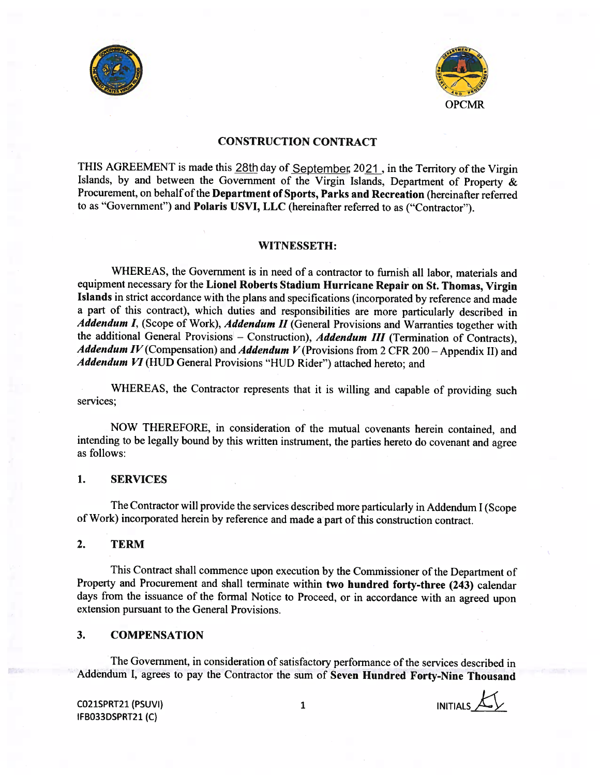



## CONSTRUCTION CONTRACT

THIS AGREEMENT is made this 28th day of September, 2021, in the Territory of the Virgin Islands, by and between the Government of the Virgin Islands, Department of Property & Procurement, on behalf of the Department of Sports, Parks and Recreation (hereinafter referred to as "Government") and Polaris USVI, LLC (hereinafter referred to as ("Contractor").

#### WITNESSETH:

WHEREAS, the Government is in need of <sup>a</sup> contractor to furnish all labor, materials and equipment necessary for the Lionel Roberts Stadium Hurricane Repair on St. Thomas, Virgin Islands in strict accordance with the <sup>p</sup>lans and specifications (incorporated by reference and made <sup>a</sup> part of this contract), which duties and responsibilities are more particularly described in Addendum I, (Scope of Work), Addendum II (General Provisions and Warranties together with the additional General Provisions — Construction), Addendum III (Termination of Contracts), Addendum IV (Compensation) and Addendum V (Provisions from 2 CFR 200 – Appendix II) and Addendum VI (HUD General Provisions "HUD Rider") attached hereto; and

WHEREAS, the Contractor represents that it is willing and capable of providing such services;

NOW THEREFORE, in consideration of the mutual covenants herein contained, and intending to be legally bound by this written instrument, the parties hereto do covenant and agree as follows:

#### 1. SERVICES

The Contractor will provide the services described more particularly in Addendum <sup>I</sup> (Scope of Work) incorporated herein by reference and made <sup>a</sup> part of this construction contract.

2. TERM

This Contract shall commence upon execution by the Commissioner of the Department of Property and Procurement and shall terminate within two hundred forty-three (243) calendar days from the issuance of the formal Notice to Proceed, or in accordance with an agreed upon extension pursuant to the General Provisions.

#### 3. COMPENSATION

The Government, in consideration of satisfactory performance of the services described in Addendum I, agrees to pay the Contractor the sum of Seven Hundred Forty-Nine Thousand

CO21SPRT21 (PSUVI) 1 1 INITIALS IFBO33DSPRT21 (C)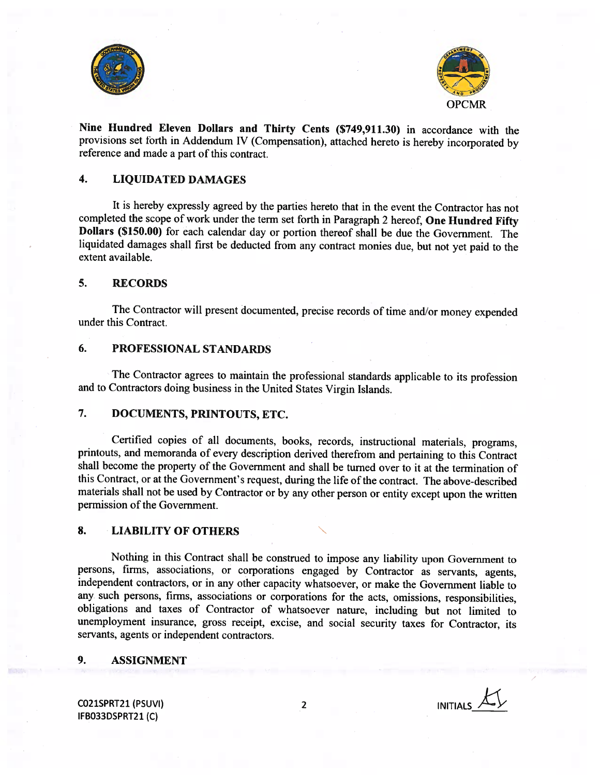



Nine Hundred Eleven Dollars and Thirty Cents (\$749,911.30) in accordance with the provisions set forth in Addendum IV (Compensation), attached hereto is hereby incorporated by reference and made <sup>a</sup> part of this contract.

## 4. LIQUIDATED DAMAGES

It is hereby expressly agreed by the parties hereto that in the event the Contractor has not completed the scope of work under the term set forth in Paragraph <sup>2</sup> hereof, One Hundred Fifty Dollars (\$150.00) for each calendar day or portion thereof shall be due the Government. The liquidated damages shall first be deducted from any contract monies due, but not yet paid to the extent available.

## 5. RECORDS

The Contractor will present documented, precise records of time and/or money expended under this Contract.

#### 6. PROFESSIONAL STANDARDS

The Contractor agrees to maintain the professional standards applicable to its profession and to Contractors doing business in the United States Virgin Islands.

## 7. DOCUMENTS, PRINTOUTS, ETC.

Certified copies of all documents, books, records, instructional materials, programs, printouts, and memoranda of every description derived therefrom and pertaining to this Contract shall become the property of the Government and shall be turned over to it at the termination of this Contract, or at the Government's request, during the life of the contract. The above-described materials shall not be used by Contractor or by any other person or entity except upon the written permission of the Government.

### 8. LIABILITY OF OTHERS

Nothing in this Contract shall be construed to impose any liability upon Government to persons, finns, associations, or corporations engaged by Contractor as servants, agents, independent contractors, or in any other capacity whatsoever, or make the Government liable to any such persons, firms, associations or corporations for the acts, omissions, responsibilities, obligations and taxes of Contractor of whatsoever nature, including but not limited to unemployment insurance, gross receipt, excise, and social security taxes for Contractor, its servants, agents or independent contractors.

#### 9. ASSIGNMENT

CO21SPRT21 (PSUVI) 2 IFBO33DSPRT21 (C)

/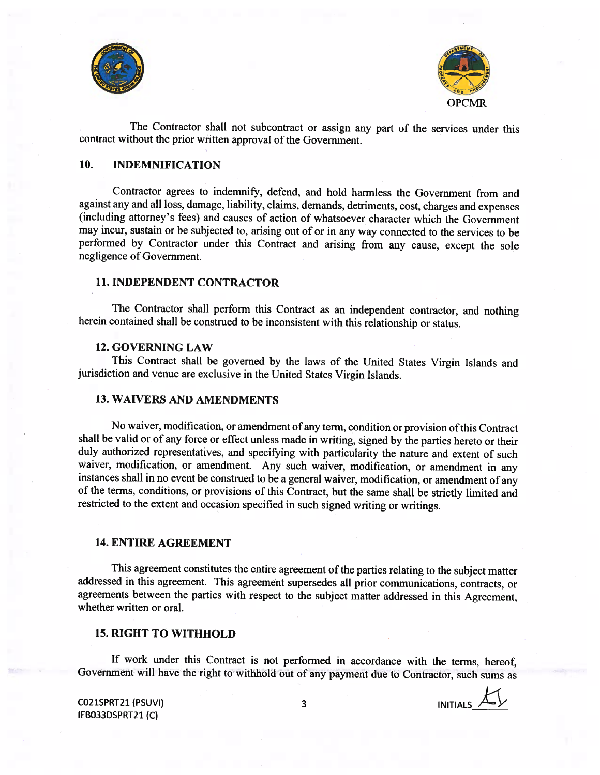



The Contractor shall not subcontract or assign any part of the services under this contract without the prior written approval of the Government.

## 10. INDEMNIFICATION

Contractor agrees to indemnify, defend, and hold harmless the Government from and against any and all loss, damage, liability, claims, demands, detriments, cost, charges and expenses (including attorney's fees) and causes of action of whatsoever character which the Government may incur, sustain or be subjected to, arising out of or in any way connected to the services to be performed by Contractor under this Contract and arising from any cause, except the sole negligence of Government.

## 11. INDEPENDENT CONTRACTOR

The Contractor shall perform this Contract as an independent contractor, and nothing herein contained shall be construed to be inconsistent with this relationship or status.

#### 12. GOVERNING LAW

This Contract shall be governed by the laws of the United States Virgin Islands and jurisdiction and venue are exclusive in the United States Virgin Islands.

## 13. WAIVERS AND AMENDMENTS

No waiver, modification, or amendment of any term, condition or provision ofthis Contract shall be valid or of any force or effect unless made in writing, signed by the parties hereto or their duly authorized representatives, and specifying with particularity the nature and extent of such waiver, modification, or amendment. Any such waiver, modification, or amendment in any instances shall in no event be construed to be <sup>a</sup> general waiver, modification, or amendment of any of the terms, conditions, or provisions of this Contract, but the same shall be strictly limited and restricted to the extent and occasion specified in such signed writing or writings.

#### 14. ENTIRE AGREEMENT

This agreement constitutes the entire agreement of the parties relating to the subject matter addressed in this agreement. This agreement supersedes all prior communications, contracts, or agreements between the parties with respect to the subject matter addressed in this Agreement, whether written or oral.

#### 15. RIGHT TO WITHHOLD

If work under this Contract is not performed in accordance with the terms, hereof, Government will have the right to withhold out of any payment due to Contractor, such sums as

CO21SPRT21 (PSUVI) 3 IFBO33DSPRT21 (C)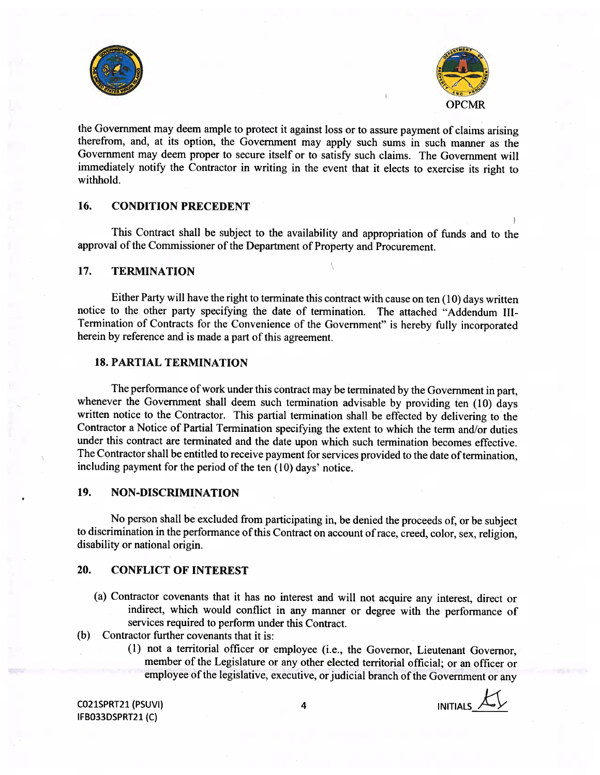



the Government may deem ample to protect it against loss or to assure payment of claims arising therefrom, and, at its option, the Government may apply such sums in such manner as the Government may deem proper to secure itself or to satisfy such claims. The Government will immediately notify the Contractor in writing in the event that it elects to exercise its right to withhold.

# 16. CONDITION PRECEDENT

This Contract shall be subject to the availability and appropriation of funds and to the approval of the Commissioner of the Department of Property and Procurement.

## 17. TERMINATION

Either Party will have the right to terminate this contract with cause on ten (10) days written notice to the other party specifying the date of termination. The attached "Addendum III-Termination of Contracts for the Convenience of the Government" is hereby fully incorporated herein by reference and is made <sup>a</sup> part of this agreement.

### 18 PARTIAL TERMINATION

The performance of work under this contract may be terminated by the Government in part, whenever the Government shall deem such termination advisable by providing ten  $(10)$  days written notice to the Contractor. This partial termination shall be effected by delivering to the Contractor a Notice of Partial Termination specifying the extent to which the term and/or duties under this contract are terminated and the date upon which such termination becomes effective. The Contractor shall be entitled to receive payment for services provided to the date of termination, including payment for the period of the ten (10) days' notice.

## 19. NON-DISCRIMINATION

No person shall be excluded from participating in, be denied the proceeds of, or be subject to discrimination in the performance of this Contract on account of race, creed, color, sex, religion, disability or national origin.

## 20. CONFLICT OF INTEREST

- (a) Contractor covenants that it has no interest and will not acquire any interest, direct or indirect, which would conflict in any manner or degree with the performance of services required to perform under this Contract.
- (b) Contractor further covenants that it is:
	- (1) not <sup>a</sup> territorial officer or employee (i.e., the Governor, Lieutenant Governor, member of the Legislature or any other elected territorial official; or an officer or employee of the legislative, executive, or judicial branch of the Government or any

CO21SPRT21 (PSUVI) 4 A INITIALS IFBO33DSPRT21 (C)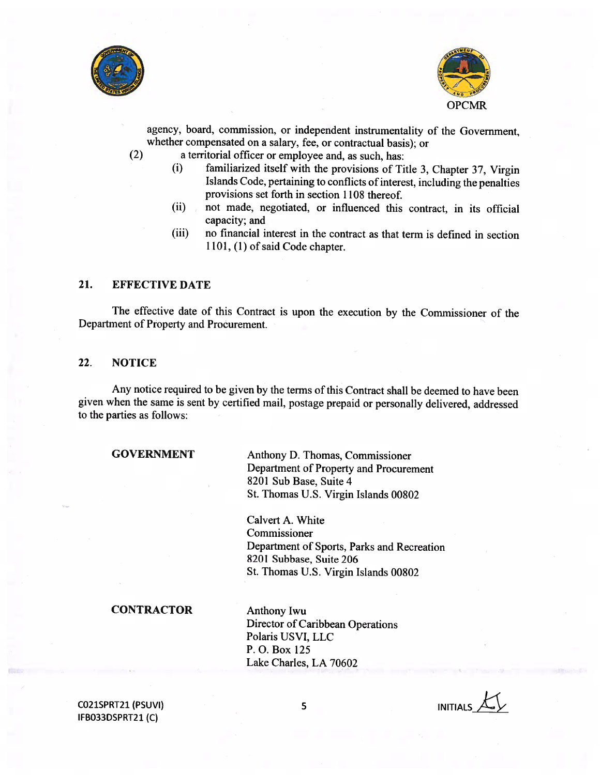



agency, board, commission, or independent instrumentality of the Government, whether compensated on <sup>a</sup> salary, fee, or contractual basis); or

- (2) <sup>a</sup> territorial officer or employee and, as such, has:
	- (i) familiarized itself with the provisions of Title 3, Chapter 37, Virgin Islands Code, pertaining to conflicts of interest, including the penalties provisions set forth in section 1108 thereof.
	- (ii) not made, negotiated, or influenced this contract, in its official capacity; and
	- (iii) no financial interest in the contract as that term is defined in section 1101, (1) of said Code chapter.

## 21. EFFECTIVE DATE

The effective date of this Contract is upon the execution by the Commissioner of the Department of Property and Procurement.

## 22. NOTICE

Any notice required to be <sup>g</sup>iven by the terms of this Contract shall be deemed to have been <sup>g</sup>iven when the same is sent by certified mail, postage prepaid or personally delivered, addressed to the parties as follows:

## GOVERNMENT

Anthony D. Thomas, Commissioner Department of Property and Procurement 8201 Sub Base, Suite 4 St. Thomas U.S. Virgin Islands 00802

Calvert A. White Commissioner Department of Sports, Parks and Recreation 8201 Subbase, Suite 206 St. Thomas U.S. Virgin Islands 00802

#### **CONTRACTOR**

Anthony Iwu Director of Caribbean Operations Polaris USVI, LLC P. 0. Box 125 Lake Charles, LA 70602

CO21SPRT21 (PSUVI) IFBO33DSPRT21 (C)

5 INITIALS\_\_\_\_\_\_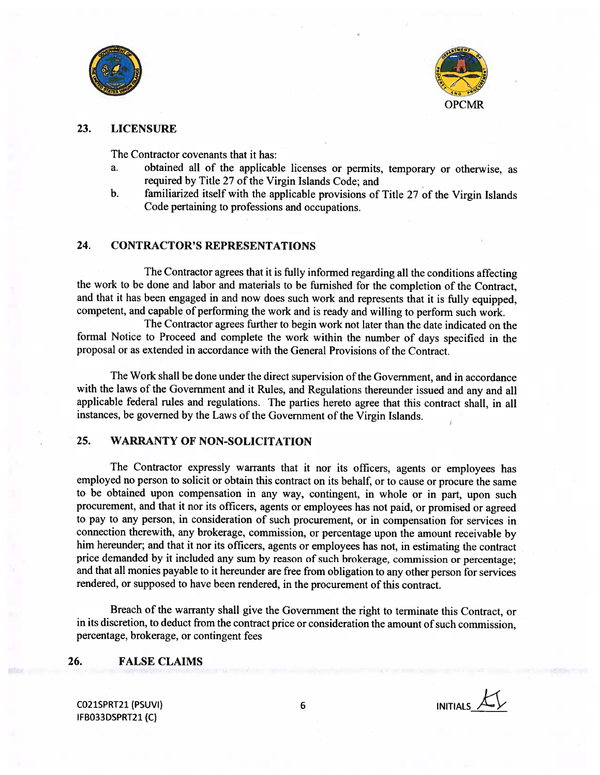



## 23. LICENSURE

The Contractor covenants that it has:

- a. obtained all of the applicable licenses or permits, temporary or otherwise, as required by Title 27 of the Virgin Islands Code; and
- b. familiarized itself with the applicable provisions of Title 27 of the Virgin Islands Code pertaining to professions and occupations.

## 24. CONTRACTOR'S REPRESENTATIONS

The Contractor agrees that it is fully informed regarding all the conditions affecting the work to be done and labor and materials to be furnished for the completion of the Contract, and that it has been engaged in and now does such work and represents that it is fully equipped, competent, and capable of performing the work and is ready and willing to perform such work.

The Contractor agrees further to begin work not later than the date indicated on the formal Notice to Proceed and complete the work within the number of days specified in the proposal or as extended in accordance with the General Provisions of the Contract.

The Work shall be done under the direct supervision of the Government, and in accordance with the laws of the Government and it Rules, and Regulations thereunder issued and any and all applicable federal rules and regulations. The parties hereto agree that this contract shall, in all instances, be governed by the Laws of the Government of the Virgin Islands.

## 25. WARRANTY OF NON-SOLICITATION

The Contractor expressly warrants that it nor its officers, agents or employees has employed no person to solicit or obtain this contract on its behalf, or to cause or procure the same to be obtained upon compensation in any way, contingent, in whole or in part, upon such procurement, and that it nor its officers, agents or employees has not paid, or promised or agreed to pay to any person, in consideration of such procurement, or in compensation for services in connection therewith, any brokerage, commission, or percentage upon the amount receivable by him hereunder; and that it nor its officers, agents or employees has not, in estimating the contract price demanded by it included any sum by reason of such brokerage, commission or percentage; and that all monies payable to it hereunder are free from obligation to any other person for services rendered, or supposed to have been rendered, in the procurement of this contract.

Breach of the warranty shall give the Government the right to terminate this Contract, or in its discretion, to deduct from the contract price or consideration the amount of such commission, percentage, brokerage, or contingent fees

#### 26. FALSE CLAIMS

CO21SPRT21 (PSUVI) 6 INITIALS\_\_\_\_\_\_\_\_ IFBO33DSPRT21 (C)

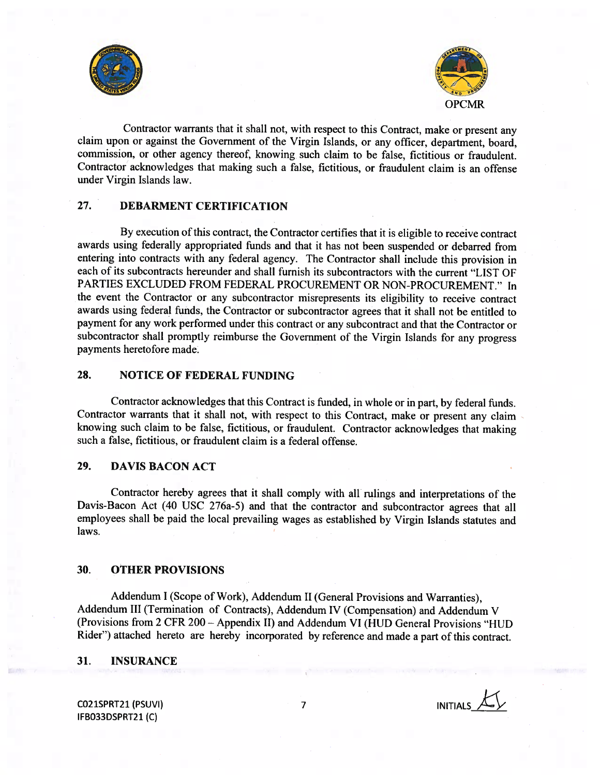



Contractor warrants that it shall not, with respect to this Contract, make or present any claim upon or against the Government of the Virgin Islands, or any officer, department, board, commission, or other agency thereof, knowing such claim to be false, fictitious or fraudulent. Contractor acknowledges that making such <sup>a</sup> false, fictitious, or fraudulent claim is an offense under Virgin Islands law.

# 27. DEBARMENT CERTIFICATION

By execution of this contract, the Contractor certifies that it is eligible to receive contract awards using federally appropriated funds and that it has not been suspended or debarred from entering into contracts with any federal agency. The Contractor shall include this provision in each of its subcontracts hereunder and shall furnish its subcontractors with the current "LIST OF PARTIES EXCLUDED FROM FEDERAL PROCUREMENT OR NON-PROCUREMENT." In the event the Contractor or any subcontractor misrepresents its eligibility to receive contract awards using federal funds, the Contractor or subcontractor agrees that it shall not be entitled to payment for any work performed under this contract or any subcontract and that the Contractor or subcontractor shall promptly reimburse the Government of the Virgin Islands for any progress payments heretofore made.

## 28. NOTICE OF FEDERAL FUNDING

Contractor acknowledges that this Contract is funded, in whole or in part, by federal funds. Contractor warrants that it shall not, with respect to this Contract, make or present any claim knowing such claim to be false, fictitious, or fraudulent. Contractor acknowledges that making such <sup>a</sup> false, fictitious, or fraudulent claim is <sup>a</sup> federal offense.

## 29. DAVIS BACON ACT

Contractor hereby agrees that it shall comply with all rulings and interpretations of the Davis-Bacon Act (40 USC 276a-5) and that the contractor and subcontractor agrees that all employees shall be paid the local prevailing wages as established by Virgin Islands statutes and laws.

#### 30. OTHER PROVISIONS

Addendum <sup>I</sup> (Scope of Work), Addendum II (General Provisions and Warranties), Addendum III (Termination of Contracts), Addendum IV (Compensation) and Addendum <sup>V</sup> (Provisions from <sup>2</sup> CFR 200 — Appendix II) and Addendum VI (HUD General Provisions "HUD Rider") attached hereto are hereby incorporated by reference and made <sup>a</sup> part of this contract.

#### 31. INSURANCE

CO21SPRT21 (PSUVI) 7 IFBO33DSPRT21 (C)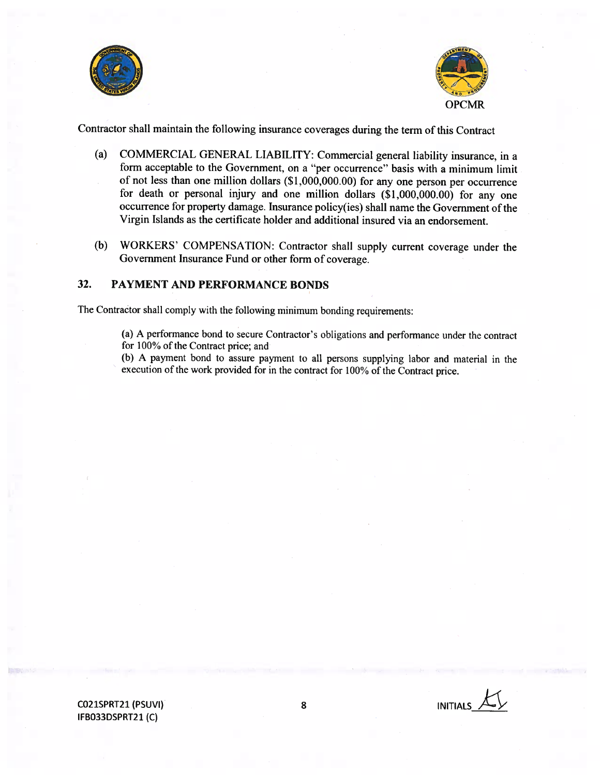



Contractor shall maintain the following insurance coverages during the term of this Contract

- (a) COMMERCIAL GENERAL LIABILITY: Commercial general liability insurance, in <sup>a</sup> form acceptable to the Government, on a "per occurrence" basis with <sup>a</sup> minimum limit of not less than one million dollars (\$1,000,000.00) for any one person per occurrence for death or personal injury and one million dollars (\$1,000,000.00) for any one occurrence for property damage. Insurance policy(ies) shall name the Government of the Virgin Islands as the certificate holder and additional insured via an endorsement.
- (b) WORKERS' COMPENSATION: Contractor shall supply current coverage under the Government Insurance Fund or other form of coverage.

## 32. PAYMENT AND PERFORMANCE BONDS

The Contractor shall comply with the following minimum bonding requirements:

(a) A performance bond to secure Contractor's obligations and performance under the contract for 100% of the Contract price; and

(b) A payment bond to assure payment to all persons supplying labor and material in the execution of the work provided for in the contract for 100% of the Contract price.

CO21SPRT21 (PSUVI) IFBO33DSPRT21 (C)

8 INITIALS  $\mathcal{K}$